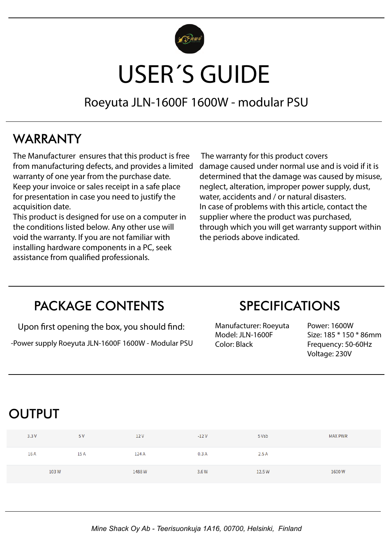

# USER´S GUIDE

Roeyuta JLN-1600F 1600W - modular PSU

#### WARRANTY

The Manufacturer ensures that this product is free from manufacturing defects, and provides a limited warranty of one year from the purchase date. Keep your invoice or sales receipt in a safe place for presentation in case you need to justify the acquisition date.

This product is designed for use on a computer in the conditions listed below. Any other use will void the warranty. If you are not familiar with installing hardware components in a PC, seek assistance from qualified professionals.

 The warranty for this product covers damage caused under normal use and is void if it is determined that the damage was caused by misuse, neglect, alteration, improper power supply, dust, water, accidents and / or natural disasters. In case of problems with this article, contact the supplier where the product was purchased, through which you will get warranty support within the periods above indicated.

#### PACKAGE CONTENTS

Upon first opening the box, you should find:

-Power supply Roeyuta JLN-1600F 1600W - Modular PSU

#### SPECIFICATIONS

Manufacturer: Roeyuta Model: JLN-1600F Color: Black

Power: 1600W Size: 185 \* 150 \* 86mm Frequency: 50-60Hz Voltage: 230V

#### OUTPUT

| 3.3V | 5 V  | 12V   | $-12V$ | 5 Vsb  | <b>MAX PWR</b> |
|------|------|-------|--------|--------|----------------|
| 16 A | 15 A | 124 A | 0.3A   | 2.5A   |                |
| 103W |      | 1488W | 3.6 W  | 12.5 W | 1600W          |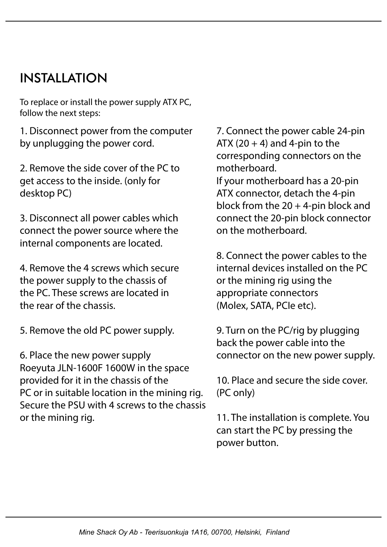### INSTALLATION

To replace or install the power supply ATX PC, follow the next steps:

1. Disconnect power from the computer by unplugging the power cord.

2. Remove the side cover of the PC to get access to the inside. (only for desktop PC)

3. Disconnect all power cables which connect the power source where the internal components are located.

4. Remove the 4 screws which secure the power supply to the chassis of the PC. These screws are located in the rear of the chassis.

5. Remove the old PC power supply.

6. Place the new power supply Roeyuta JLN-1600F 1600W in the space provided for it in the chassis of the PC or in suitable location in the mining rig. Secure the PSU with 4 screws to the chassis or the mining rig.

7. Connect the power cable 24-pin ATX (20  $+$  4) and 4-pin to the corresponding connectors on the motherboard.

If your motherboard has a 20-pin ATX connector, detach the 4-pin block from the  $20 + 4$ -pin block and connect the 20-pin block connector on the motherboard.

8. Connect the power cables to the internal devices installed on the PC or the mining rig using the appropriate connectors (Molex, SATA, PCIe etc).

9. Turn on the PC/rig by plugging back the power cable into the connector on the new power supply.

10. Place and secure the side cover. (PC only)

11. The installation is complete. You can start the PC by pressing the power button.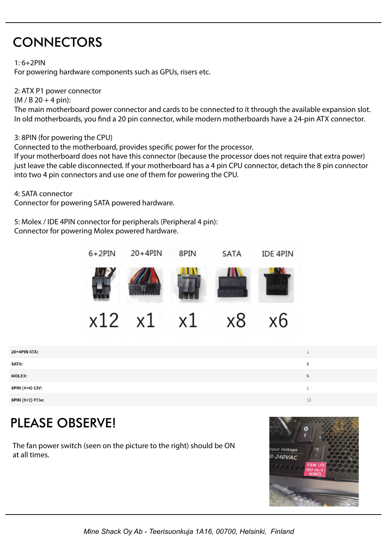## **CONNECTORS**

1: 6+2PIN

For powering hardware components such as GPUs, risers etc.

2: ATX P1 power connector

 $(M / B 20 + 4 \text{ pin})$ :

The main motherboard power connector and cards to be connected to it through the available expansion slot. In old motherboards, you find a 20 pin connector, while modern motherboards have a 24-pin ATX connector.

3: 8PIN (for powering the CPU)

Connected to the motherboard, provides specific power for the processor.

If your motherboard does not have this connector (because the processor does not require that extra power) just leave the cable disconnected. If your motherboard has a 4 pin CPU connector, detach the 8 pin connector into two 4 pin connectors and use one of them for powering the CPU.

4: SATA connector

Connector for powering SATA powered hardware.

5: Molex / IDE 4PIN connector for peripherals (Peripheral 4 pin): Connector for powering Molex powered hardware.



 $x1$ xб x12 x1 x8

| 20+4PIN ATX:     |    |
|------------------|----|
| <b>SATA:</b>     | 8  |
| <b>MOLEX:</b>    | 6  |
| 8PIN (4+4) 12V:  |    |
| 8PIN (6+2) PCIe: | 12 |

## PLEASE OBSERVE!

The fan power switch (seen on the picture to the right) should be ON at all times.